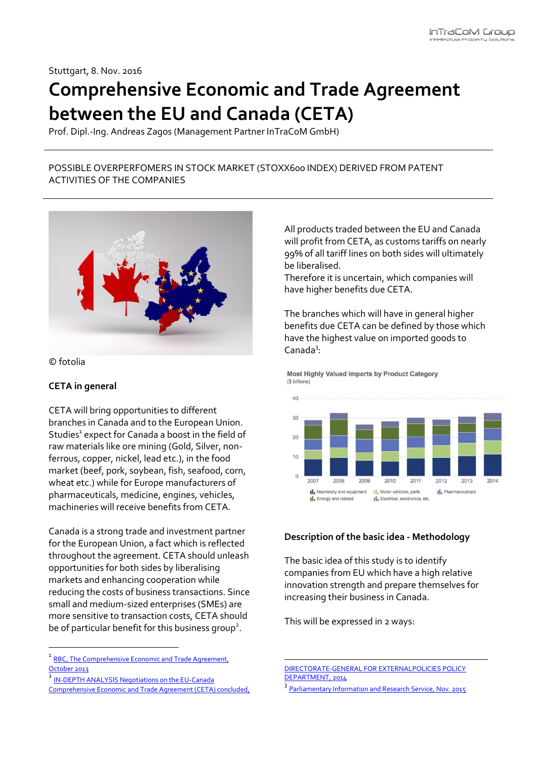Stuttgart, 8. Nov. 2016

# **Comprehensive Economic and Trade Agreement between the EU and Canada (CETA)**

Prof. Dipl.-Ing. Andreas Zagos (Management Partner InTraCoM GmbH)

# POSSIBLE OVERPERFOMERS IN STOCK MARKET (STOXX600 INDEX) DERIVED FROM PATENT ACTIVITIES OF THE COMPANIES



© fotolia

1

### **CETA in general**

CETA will bring opportunities to different branches in Canada and to the European Union. Studies<sup>1</sup> expect for Canada a boost in the field of raw materials like ore mining (Gold, Silver, nonferrous, copper, nickel, lead etc.), in the food market (beef, pork, soybean, fish, seafood, corn, wheat etc.) while for Europe manufacturers of pharmaceuticals, medicine, engines, vehicles, machineries will receive benefits from CETA.

Canada is a strong trade and investment partner for the European Union, a fact which is reflected throughout the agreement. CETA should unleash opportunities for both sides by liberalising markets and enhancing cooperation while reducing the costs of business transactions. Since small and medium-sized enterprises (SMEs) are more sensitive to transaction costs, CETA should be of particular benefit for this business group<sup>2</sup>.

2 [IN-DEPTH ANALYSIS Negotiations on the EU-Canada](http://www.europarl.europa.eu/RegData/etudes/IDAN/2014/536410/EXPO_IDA(2014)536410_EN.pdf) 

[Comprehensive Economic and Trade Agreement \(CETA\) concluded,](http://www.europarl.europa.eu/RegData/etudes/IDAN/2014/536410/EXPO_IDA(2014)536410_EN.pdf) 

All products traded between the EU and Canada will profit from CETA, as customs tariffs on nearly 99% of all tariff lines on both sides will ultimately be liberalised.

Therefore it is uncertain, which companies will have higher benefits due CETA.

The branches which will have in general higher benefits due CETA can be defined by those which have the highest value on imported goods to Canada<sup>3</sup>:

Most Highly Valued Imports by Product Category (\$ billions)



### **Description of the basic idea - Methodology**

The basic idea of this study is to identify companies from EU which have a high relative innovation strength and prepare themselves for increasing their business in Canada.

This will be expressed in 2 ways:

**.** 

<sup>&</sup>lt;sup>1</sup> RBC, The Comprehensive Economic and Trade Agreement, [October 2013](http://www.rbc.com/economics/economic-reports/pdf/other-reports/CETA.pdf)

[DIRECTORATE-GENERAL FOR EXTERNALPOLICIES POLICY](http://www.europarl.europa.eu/RegData/etudes/IDAN/2014/536410/EXPO_IDA(2014)536410_EN.pdf)  [DEPARTMENT,](http://www.europarl.europa.eu/RegData/etudes/IDAN/2014/536410/EXPO_IDA(2014)536410_EN.pdf) 2014

<sup>&</sup>lt;sup>3</sup> [Parliamentary Information and Research Service, Nov. 2015](http://www.lop.parl.gc.ca/Content/LOP/ResearchPublications/2015-97-e.pdf)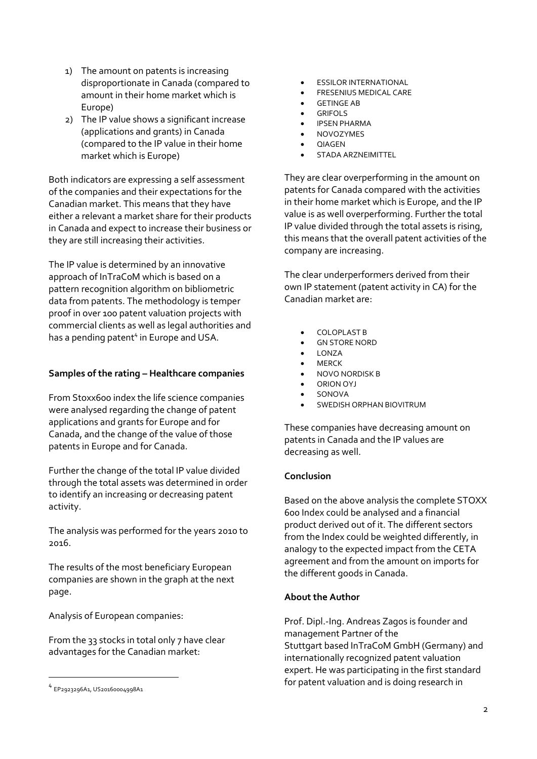- 1) The amount on patents is increasing disproportionate in Canada (compared to amount in their home market which is Europe)
- 2) The IP value shows a significant increase (applications and grants) in Canada (compared to the IP value in their home market which is Europe)

Both indicators are expressing a self assessment of the companies and their expectations for the Canadian market. This means that they have either a relevant a market share for their products in Canada and expect to increase their business or they are still increasing their activities.

The IP value is determined by an innovative approach of InTraCoM which is based on a pattern recognition algorithm on bibliometric data from patents. The methodology is temper proof in over 100 patent valuation projects with commercial clients as well as legal authorities and has a pending patent<sup>4</sup> in Europe and USA.

# **Samples of the rating – Healthcare companies**

From Stoxx600 index the life science companies were analysed regarding the change of patent applications and grants for Europe and for Canada, and the change of the value of those patents in Europe and for Canada.

Further the change of the total IP value divided through the total assets was determined in order to identify an increasing or decreasing patent activity.

The analysis was performed for the years 2010 to 2016.

The results of the most beneficiary European companies are shown in the graph at the next page.

Analysis of European companies:

From the 33 stocks in total only 7 have clear advantages for the Canadian market:

1

- ESSILOR INTERNATIONAL
- FRESENIUS MEDICAL CARE
- GETINGE AB
- GRIFOLS
- IPSEN PHARMA
- NOVOZYMES
- QIAGEN
- STADA ARZNEIMITTEL

They are clear overperforming in the amount on patents for Canada compared with the activities in their home market which is Europe, and the IP value is as well overperforming. Further the total IP value divided through the total assets is rising, this means that the overall patent activities of the company are increasing.

The clear underperformers derived from their own IP statement (patent activity in CA) for the Canadian market are:

- COLOPLAST B
- GN STORE NORD
- $\bullet$  LONZA
- MERCK
- NOVO NORDISK B
- ORION OYJ
- SONOVA
- SWEDISH ORPHAN BIOVITRUM

These companies have decreasing amount on patents in Canada and the IP values are decreasing as well.

#### **Conclusion**

Based on the above analysis the complete STOXX 600 Index could be analysed and a financial product derived out of it. The different sectors from the Index could be weighted differently, in analogy to the expected impact from the CETA agreement and from the amount on imports for the different goods in Canada.

### **About the Author**

Prof. Dipl.-Ing. Andreas Zagos is founder and management Partner of the Stuttgart based InTraCoM GmbH (Germany) and internationally recognized patent valuation expert. He was participating in the first standard for patent valuation and is doing research in

<sup>4</sup> EP2923296A1, US20160004998A1